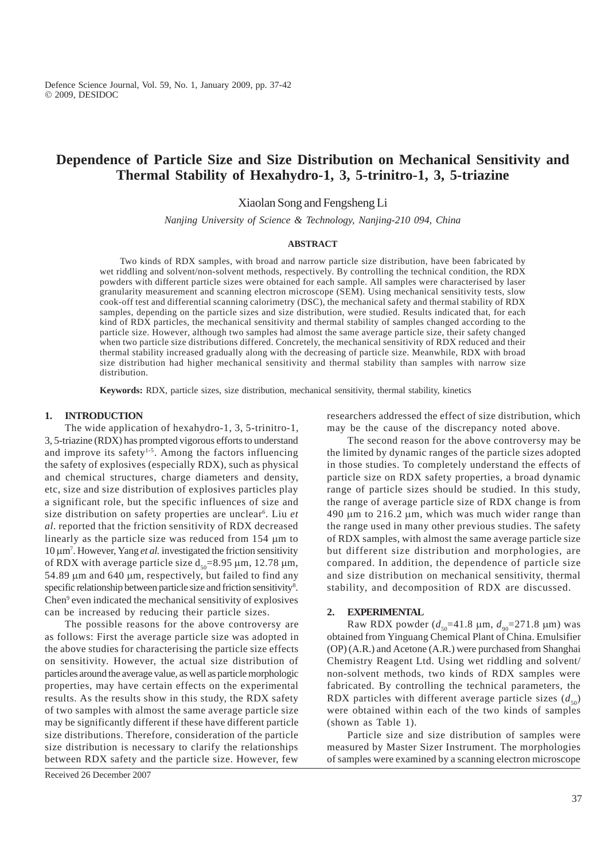Defence Science Journal, Vol. 59, No. 1, January 2009, pp. 37-42 Ó 2009, DESIDOC

# **Dependence of Particle Size and Size Distribution on Mechanical Sensitivity and Thermal Stability of Hexahydro-1, 3, 5-trinitro-1, 3, 5-triazine**

Xiaolan Song and Fengsheng Li

*Nanjing University of Science & Technology, Nanjing-210 094, China*

#### **ABSTRACT**

Two kinds of RDX samples, with broad and narrow particle size distribution, have been fabricated by wet riddling and solvent/non-solvent methods, respectively. By controlling the technical condition, the RDX powders with different particle sizes were obtained for each sample. All samples were characterised by laser granularity measurement and scanning electron microscope (SEM). Using mechanical sensitivity tests, slow cook-off test and differential scanning calorimetry (DSC), the mechanical safety and thermal stability of RDX samples, depending on the particle sizes and size distribution, were studied. Results indicated that, for each kind of RDX particles, the mechanical sensitivity and thermal stability of samples changed according to the particle size. However, although two samples had almost the same average particle size, their safety changed when two particle size distributions differed. Concretely, the mechanical sensitivity of RDX reduced and their thermal stability increased gradually along with the decreasing of particle size. Meanwhile, RDX with broad size distribution had higher mechanical sensitivity and thermal stability than samples with narrow size distribution.

**Keywords:** RDX, particle sizes, size distribution, mechanical sensitivity, thermal stability, kinetics

## **1. INTRODUCTION**

The wide application of hexahydro-1, 3, 5-trinitro-1, 3, 5-triazine (RDX) has prompted vigorous efforts to understand and improve its safety<sup>1-5</sup>. Among the factors influencing the safety of explosives (especially RDX), such as physical and chemical structures, charge diameters and density, etc, size and size distribution of explosives particles play a significant role, but the specific influences of size and size distribution on safety properties are unclear6 . Liu *et al.* reported that the friction sensitivity of RDX decreased linearly as the particle size was reduced from  $154 \mu m$  to 10 μm<sup>7</sup>. However, Yang *et al.* investigated the friction sensitivity of RDX with average particle size  $d_{50}=8.95 \mu m$ , 12.78  $\mu$ m, 54.89  $\mu$ m and 640  $\mu$ m, respectively, but failed to find any specific relationship between particle size and friction sensitivity<sup>8</sup>. Chen<sup>9</sup> even indicated the mechanical sensitivity of explosives can be increased by reducing their particle sizes.

The possible reasons for the above controversy are as follows: First the average particle size was adopted in the above studies for characterising the particle size effects on sensitivity. However, the actual size distribution of particles around the average value, as well as particle morphologic properties, may have certain effects on the experimental results. As the results show in this study, the RDX safety of two samples with almost the same average particle size may be significantly different if these have different particle size distributions. Therefore, consideration of the particle size distribution is necessary to clarify the relationships between RDX safety and the particle size. However, few

researchers addressed the effect of size distribution, which may be the cause of the discrepancy noted above.

The second reason for the above controversy may be the limited by dynamic ranges of the particle sizes adopted in those studies. To completely understand the effects of particle size on RDX safety properties, a broad dynamic range of particle sizes should be studied. In this study, the range of average particle size of RDX change is from 490  $\mu$ m to 216.2  $\mu$ m, which was much wider range than the range used in many other previous studies. The safety of RDX samples, with almost the same average particle size but different size distribution and morphologies, are compared. In addition, the dependence of particle size and size distribution on mechanical sensitivity, thermal stability, and decomposition of RDX are discussed.

## **2. EXPERIMENTAL**

Raw RDX powder  $(d_{50}=41.8 \mu m, d_{90}=271.8 \mu m)$  was obtained from Yinguang Chemical Plant of China. Emulsifier (OP) (A.R.) and Acetone (A.R.) were purchased from Shanghai Chemistry Reagent Ltd. Using wet riddling and solvent/ non-solvent methods, two kinds of RDX samples were fabricated. By controlling the technical parameters, the RDX particles with different average particle sizes  $(d_{50})$ were obtained within each of the two kinds of samples (shown as Table 1).

Particle size and size distribution of samples were measured by Master Sizer Instrument. The morphologies of samples were examined by a scanning electron microscope

Received 26 December 2007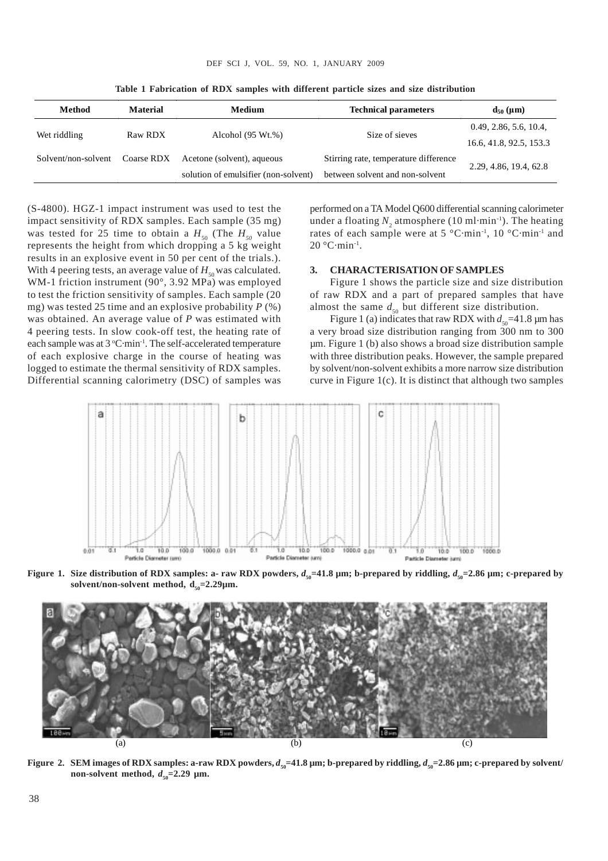| Method              | <b>Material</b> | Medium                               | <b>Technical parameters</b>           | $d_{50}$ (µm)           |
|---------------------|-----------------|--------------------------------------|---------------------------------------|-------------------------|
| Wet riddling        | Raw RDX         | Alcohol $(95 Wt.%)$                  | Size of sieves                        | 0.49, 2.86, 5.6, 10.4,  |
|                     |                 |                                      |                                       | 16.6, 41.8, 92.5, 153.3 |
| Solvent/non-solvent | Coarse RDX      | Acetone (solvent), aqueous           | Stirring rate, temperature difference | 2.29, 4.86, 19.4, 62.8  |
|                     |                 | solution of emulsifier (non-solvent) | between solvent and non-solvent       |                         |

**Table 1 Fabrication of RDX samples with different particle sizes and size distribution**

(S-4800). HGZ-1 impact instrument was used to test the impact sensitivity of RDX samples. Each sample (35 mg) was tested for 25 time to obtain a  $H_{50}$  (The  $H_{50}$  value represents the height from which dropping a 5 kg weight results in an explosive event in 50 per cent of the trials.). With 4 peering tests, an average value of  $H_{50}$  was calculated. WM-1 friction instrument (90°, 3.92 MPa) was employed to test the friction sensitivity of samples. Each sample (20 mg) was tested 25 time and an explosive probability *P* (%) was obtained. An average value of *P* was estimated with 4 peering tests. In slow cook-off test, the heating rate of each sample was at 3 °C·min<sup>-1</sup>. The self-accelerated temperature of each explosive charge in the course of heating was logged to estimate the thermal sensitivity of RDX samples. Differential scanning calorimetry (DSC) of samples was

performed on a TA Model Q600 differential scanning calorimeter under a floating  $N_{2}$  atmosphere (10 ml·min<sup>-1</sup>). The heating rates of each sample were at 5 °C·min-1, 10 °C·min-1 and  $20^{\circ}$ C·min<sup>-1</sup>.

## **3. CHARACTERISATION OF SAMPLES**

Figure 1 shows the particle size and size distribution of raw RDX and a part of prepared samples that have almost the same  $d_{50}$  but different size distribution.

Figure 1 (a) indicates that raw RDX with  $d_{50}$ =41.8 µm has a very broad size distribution ranging from 300 nm to 300 µm. Figure 1 (b) also shows a broad size distribution sample with three distribution peaks. However, the sample prepared by solvent/non-solvent exhibits a more narrow size distribution curve in Figure 1(c). It is distinct that although two samples



**Figure 1.** Size distribution of RDX samples: a- raw RDX powders,  $d_{so} = 41.8$  µm; b-prepared by riddling,  $d_{so} = 2.86$  µm; c-prepared by solvent/non-solvent method,  $d_{50}=2.29 \mu m$ .



**Figure 2.** SEM images of RDX samples: a-raw RDX powders,  $d_{50} = 41.8 \text{ µm}$ ; b-prepared by riddling,  $d_{50} = 2.86 \text{ µm}$ ; c-prepared by solvent/ non-solvent method,  $d_{50} = 2.29 \text{ }\mu\text{m}$ .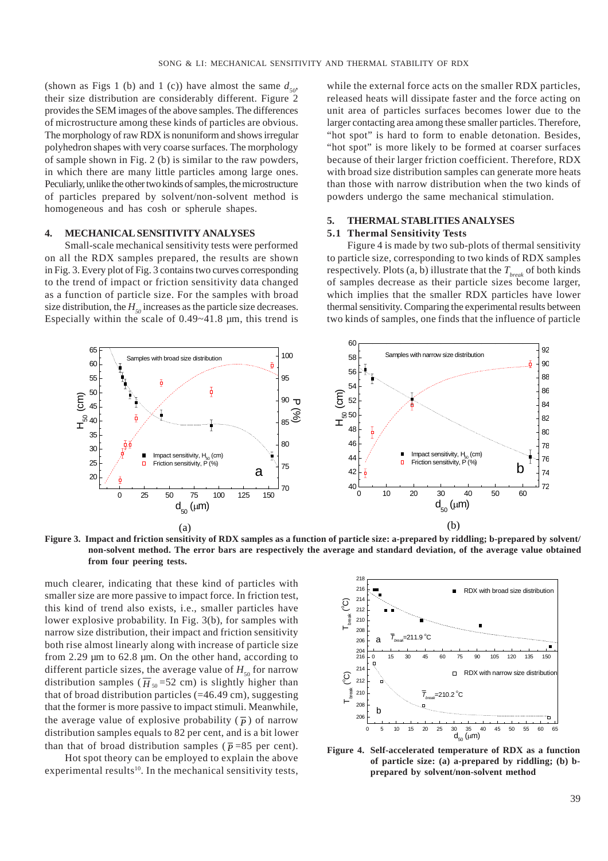(shown as Figs 1 (b) and 1 (c)) have almost the same  $d_{50}$ , their size distribution are considerably different. Figure 2 provides the SEM images of the above samples. The differences of microstructure among these kinds of particles are obvious. The morphology of raw RDX is nonuniform and shows irregular polyhedron shapes with very coarse surfaces. The morphology of sample shown in Fig. 2 (b) is similar to the raw powders, in which there are many little particles among large ones. Peculiarly, unlike the other two kinds of samples, the microstructure of particles prepared by solvent/non-solvent method is homogeneous and has cosh or spherule shapes.

## **4. MECHANICAL SENSITIVITY ANALYSES**

Small-scale mechanical sensitivity tests were performed on all the RDX samples prepared, the results are shown in Fig. 3. Every plot of Fig. 3 contains two curves corresponding to the trend of impact or friction sensitivity data changed as a function of particle size. For the samples with broad size distribution, the  $H_{50}$  increases as the particle size decreases. Especially within the scale of 0.49~41.8 µm, this trend is

while the external force acts on the smaller RDX particles, released heats will dissipate faster and the force acting on unit area of particles surfaces becomes lower due to the larger contacting area among these smaller particles. Therefore, "hot spot" is hard to form to enable detonation. Besides, "hot spot" is more likely to be formed at coarser surfaces because of their larger friction coefficient. Therefore, RDX with broad size distribution samples can generate more heats than those with narrow distribution when the two kinds of powders undergo the same mechanical stimulation.

## **5. THERMAL STABLITIES ANALYSES**

#### **5.1 Thermal Sensitivity Tests**

Figure 4 is made by two sub-plots of thermal sensitivity to particle size, corresponding to two kinds of RDX samples respectively. Plots  $(a, b)$  illustrate that the  $T_{\text{break}}$  of both kinds of samples decrease as their particle sizes become larger, which implies that the smaller RDX particles have lower thermal sensitivity. Comparing the experimental results between two kinds of samples, one finds that the influence of particle



**Figure 3. Impact and friction sensitivity of RDX samples as a function of particle size: a-prepared by riddling; b-prepared by solvent/ non-solvent method. The error bars are respectively the average and standard deviation, of the average value obtained from four peering tests.**

much clearer, indicating that these kind of particles with smaller size are more passive to impact force. In friction test, this kind of trend also exists, i.e., smaller particles have lower explosive probability. In Fig. 3(b), for samples with narrow size distribution, their impact and friction sensitivity both rise almost linearly along with increase of particle size from 2.29 µm to 62.8 µm. On the other hand, according to different particle sizes, the average value of  $H_{50}$  for narrow distribution samples ( $\overline{H}_{50}$ =52 cm) is slightly higher than that of broad distribution particles (=46.49 cm), suggesting that the former is more passive to impact stimuli. Meanwhile, the average value of explosive probability  $(\bar{p})$  of narrow distribution samples equals to 82 per cent, and is a bit lower than that of broad distribution samples ( $\bar{p}$ =85 per cent).

Hot spot theory can be employed to explain the above experimental results<sup>10</sup>. In the mechanical sensitivity tests,



**Figure 4. Self-accelerated temperature of RDX as a function of particle size: (a) a-prepared by riddling; (b) bprepared by solvent/non-solvent method**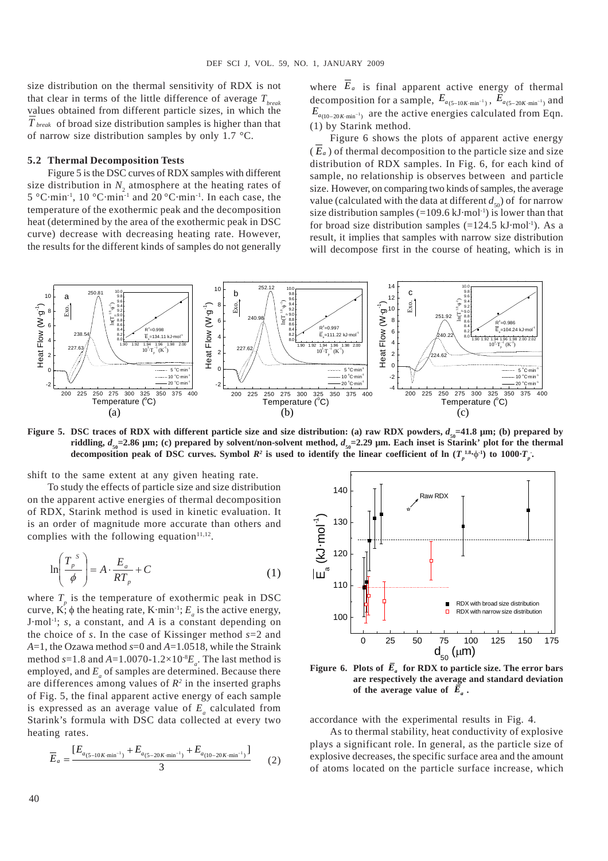size distribution on the thermal sensitivity of RDX is not that clear in terms of the little difference of average  $T_{break}$ values obtained from different particle sizes, in which the *T break* of broad size distribution samples is higher than that of narrow size distribution samples by only 1.7 °C.

#### **5.2 Thermal Decomposition Tests**

Figure 5 is the DSC curves of RDX samples with different size distribution in  $N_2$  atmosphere at the heating rates of 5 °C·min-1, 10 °C·min-1 and 20 °C·min-1. In each case, the temperature of the exothermic peak and the decomposition heat (determined by the area of the exothermic peak in DSC curve) decrease with decreasing heating rate. However, the results for the different kinds of samples do not generally where  $\overline{E}_a$  is final apparent active energy of thermal decomposition for a sample,  $E_{a_{(5-10K\cdot min^{-1})}}$ ,  $E_{a_{(5-20K\cdot min^{-1})}}$  and  $E_{a_{(10-20K\cdot min^{-1})}}$  are the active energies calculated from Eqn. (1) by Starink method.

Figure 6 shows the plots of apparent active energy  $(E_a)$  of thermal decomposition to the particle size and size distribution of RDX samples. In Fig. 6, for each kind of sample, no relationship is observes between and particle size. However, on comparing two kinds of samples, the average value (calculated with the data at different  $d_{\rm so}$ ) of for narrow size distribution samples  $(=109.6 \text{ kJ·mol<sup>-1</sup>)$  is lower than that for broad size distribution samples  $(=124.5 \text{ kJ·mol}^{-1})$ . As a result, it implies that samples with narrow size distribution will decompose first in the course of heating, which is in



**Figure 5.** DSC traces of RDX with different particle size and size distribution: (a) raw RDX powders,  $d_{\rm so}$ =41.8 µm; (b) prepared by **riddling,**  $d_{\rm so}$  =2.86  $\mu$ m; (c) prepared by solvent/non-solvent method,  $d_{\rm so}$ =2.29  $\mu$ m. Each inset is Starink' plot for the thermal decomposition peak of DSC curves. Symbol  $R^2$  is used to identify the linear coefficient of ln  $(T_p^{1.8.}\phi^{1.})$  to 1000 $T_p^{1.}$ 

shift to the same extent at any given heating rate.

To study the effects of particle size and size distribution on the apparent active energies of thermal decomposition of RDX, Starink method is used in kinetic evaluation. It is an order of magnitude more accurate than others and complies with the following equation $11,12$ .

$$
\ln\left(\frac{T_p^s}{\phi}\right) = A \cdot \frac{E_a}{RT_p} + C \tag{1}
$$

where  $T_p$  is the temperature of exothermic peak in DSC curve, K;  $\phi$  the heating rate, K·min<sup>-1</sup>;  $E_a$  is the active energy, J·mol-1; *s*, a constant, and *A* is a constant depending on the choice of *s*. In the case of Kissinger method *s*=2 and *A*=1, the Ozawa method *s*=0 and *A*=1.0518, while the Straink method  $s=1.8$  and  $A=1.0070-1.2\times10^{8}E_a$ . The last method is employed, and  $E_a$  of samples are determined. Because there are differences among values of  $R^2$  in the inserted graphs of Fig. 5, the final apparent active energy of each sample is expressed as an average value of  $E_a$  calculated from Starink's formula with DSC data collected at every two heating rates.

$$
\overline{E}_a = \frac{[E_{a(5-10K\cdot\min^{-1})} + E_{a(5-20K\cdot\min^{-1})} + E_{a(10-20K\cdot\min^{-1})}]}{3}
$$
(2)



**Figure 6. Plots of**  $\overline{E}_a$  **for RDX to particle size. The error bars are respectively the average and standard deviation** of the average value of  $\overline{E}_a$ .

accordance with the experimental results in Fig. 4.

As to thermal stability, heat conductivity of explosive plays a significant role. In general, as the particle size of explosive decreases, the specific surface area and the amount of atoms located on the particle surface increase, which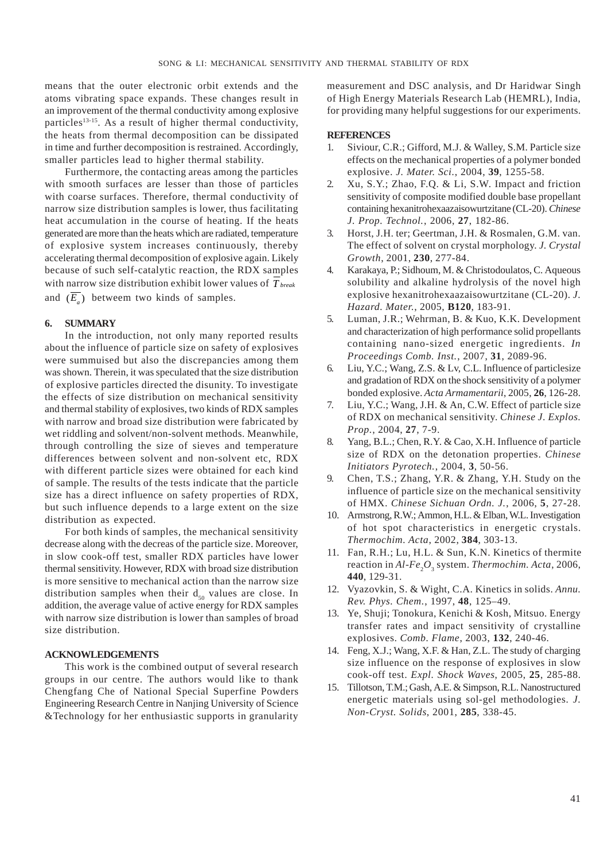means that the outer electronic orbit extends and the atoms vibrating space expands. These changes result in an improvement of the thermal conductivity among explosive particles<sup>13-15</sup>. As a result of higher thermal conductivity, the heats from thermal decomposition can be dissipated in time and further decomposition is restrained. Accordingly, smaller particles lead to higher thermal stability.

Furthermore, the contacting areas among the particles with smooth surfaces are lesser than those of particles with coarse surfaces. Therefore, thermal conductivity of narrow size distribution samples is lower, thus facilitating heat accumulation in the course of heating. If the heats generated are more than the heats which are radiated, temperature of explosive system increases continuously, thereby accelerating thermal decomposition of explosive again. Likely because of such self-catalytic reaction, the RDX samples with narrow size distribution exhibit lower values of *T break* and  $(E)$  betweem two kinds of samples.

## **6. SUMMARY**

In the introduction, not only many reported results about the influence of particle size on safety of explosives were summuised but also the discrepancies among them was shown. Therein, it was speculated that the size distribution of explosive particles directed the disunity. To investigate the effects of size distribution on mechanical sensitivity and thermal stability of explosives, two kinds of RDX samples with narrow and broad size distribution were fabricated by wet riddling and solvent/non-solvent methods. Meanwhile, through controlling the size of sieves and temperature differences between solvent and non-solvent etc, RDX with different particle sizes were obtained for each kind of sample. The results of the tests indicate that the particle size has a direct influence on safety properties of RDX, but such influence depends to a large extent on the size distribution as expected.

For both kinds of samples, the mechanical sensitivity decrease along with the decreas of the particle size. Moreover, in slow cook-off test, smaller RDX particles have lower thermal sensitivity. However, RDX with broad size distribution is more sensitive to mechanical action than the narrow size distribution samples when their  $d_{50}$  values are close. In addition, the average value of active energy for RDX samples with narrow size distribution is lower than samples of broad size distribution.

## **ACKNOWLEDGEMENTS**

This work is the combined output of several research groups in our centre. The authors would like to thank Chengfang Che of National Special Superfine Powders Engineering Research Centre in Nanjing University of Science &Technology for her enthusiastic supports in granularity

measurement and DSC analysis, and Dr Haridwar Singh of High Energy Materials Research Lab (HEMRL), India, for providing many helpful suggestions for our experiments.

## **REFERENCES**

- 1. Siviour, C.R.; Gifford, M.J. & Walley, S.M. Particle size effects on the mechanical properties of a polymer bonded explosive. *J. Mater. Sci.*, 2004, **39**, 1255-58.
- 2. Xu, S.Y.; Zhao, F.Q. & Li, S.W. Impact and friction sensitivity of composite modified double base propellant containing hexanitrohexaazaisowurtzitane (CL-20). *Chinese J. Prop. Technol.*, 2006, **27**, 182-86.
- 3. Horst, J.H. ter; Geertman, J.H. & Rosmalen, G.M. van. The effect of solvent on crystal morphology. *J. Crystal Growth*, 2001, **230**, 277-84.
- 4. Karakaya, P.; Sidhoum, M. & Christodoulatos, C. Aqueous solubility and alkaline hydrolysis of the novel high explosive hexanitrohexaazaisowurtzitane (CL-20). *J. Hazard. Mater.*, 2005, **B120**, 183-91.
- 5. Luman, J.R.; Wehrman, B. & Kuo, K.K. Development and characterization of high performance solid propellants containing nano-sized energetic ingredients. *In Proceedings Comb. Inst.*, 2007, **31**, 2089-96.
- 6. Liu, Y.C.; Wang, Z.S. & Lv, C.L. Influence of particlesize and gradation of RDX on the shock sensitivity of a polymer bonded explosive. *Acta Armamentarii*, 2005, **26**, 126-28.
- 7. Liu, Y.C.; Wang, J.H. & An, C.W. Effect of particle size of RDX on mechanical sensitivity. *Chinese J. Explos. Prop.*, 2004, **27**, 7-9.
- 8. Yang, B.L.; Chen, R.Y. & Cao, X.H. Influence of particle size of RDX on the detonation properties. *Chinese Initiators Pyrotech.*, 2004, **3**, 50-56.
- 9. Chen, T.S.; Zhang, Y.R. & Zhang, Y.H. Study on the influence of particle size on the mechanical sensitivity of HMX. *Chinese Sichuan Ordn. J.*, 2006, **5**, 27-28.
- 10. Armstrong, R.W.; Ammon, H.L. & Elban, W.L. Investigation of hot spot characteristics in energetic crystals. *Thermochim. Acta*, 2002, **384**, 303-13.
- 11. Fan, R.H.; Lu, H.L. & Sun, K.N. Kinetics of thermite reaction in *Al-Fe<sub>2</sub>O*<sub>3</sub> system. *Thermochim. Acta*, 2006, **440**, 129-31.
- 12. Vyazovkin, S. & Wight, C.A. Kinetics in solids. *Annu. Rev. Phys. Chem.*, 1997, **48**, 125–49.
- 13. Ye, Shuji; Tonokura, Kenichi & Kosh, Mitsuo. Energy transfer rates and impact sensitivity of crystalline explosives. *Comb. Flame*, 2003, **132**, 240-46.
- 14. Feng, X.J.; Wang, X.F. & Han, Z.L. The study of charging size influence on the response of explosives in slow cook-off test. *Expl. Shock Waves*, 2005, **25**, 285-88.
- 15. Tillotson, T.M.; Gash, A.E. & Simpson, R.L. Nanostructured energetic materials using sol-gel methodologies. *J. Non-Cryst. Solids*, 2001, **285**, 338-45.